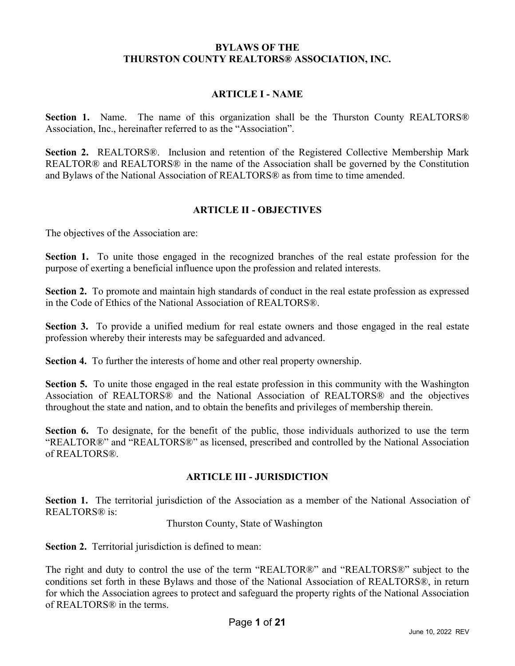#### **BYLAWS OF THE THURSTON COUNTY REALTORS® ASSOCIATION, INC.**

### **ARTICLE I - NAME**

**Section 1.** Name.The name of this organization shall be the Thurston County REALTORS® Association, Inc., hereinafter referred to as the "Association".

**Section 2.** REALTORS®.Inclusion and retention of the Registered Collective Membership Mark REALTOR® and REALTORS® in the name of the Association shall be governed by the Constitution and Bylaws of the National Association of REALTORS® as from time to time amended.

### **ARTICLE II - OBJECTIVES**

The objectives of the Association are:

**Section 1.** To unite those engaged in the recognized branches of the real estate profession for the purpose of exerting a beneficial influence upon the profession and related interests.

**Section 2.** To promote and maintain high standards of conduct in the real estate profession as expressed in the Code of Ethics of the National Association of REALTORS®.

**Section 3.** To provide a unified medium for real estate owners and those engaged in the real estate profession whereby their interests may be safeguarded and advanced.

**Section 4.** To further the interests of home and other real property ownership.

**Section 5.** To unite those engaged in the real estate profession in this community with the Washington Association of REALTORS® and the National Association of REALTORS® and the objectives throughout the state and nation, and to obtain the benefits and privileges of membership therein.

**Section 6.** To designate, for the benefit of the public, those individuals authorized to use the term "REALTOR®" and "REALTORS®" as licensed, prescribed and controlled by the National Association of REALTORS®.

#### **ARTICLE III - JURISDICTION**

**Section 1.** The territorial jurisdiction of the Association as a member of the National Association of REALTORS® is:

#### Thurston County, State of Washington

**Section 2.** Territorial jurisdiction is defined to mean:

The right and duty to control the use of the term "REALTOR®" and "REALTORS®" subject to the conditions set forth in these Bylaws and those of the National Association of REALTORS®, in return for which the Association agrees to protect and safeguard the property rights of the National Association of REALTORS® in the terms.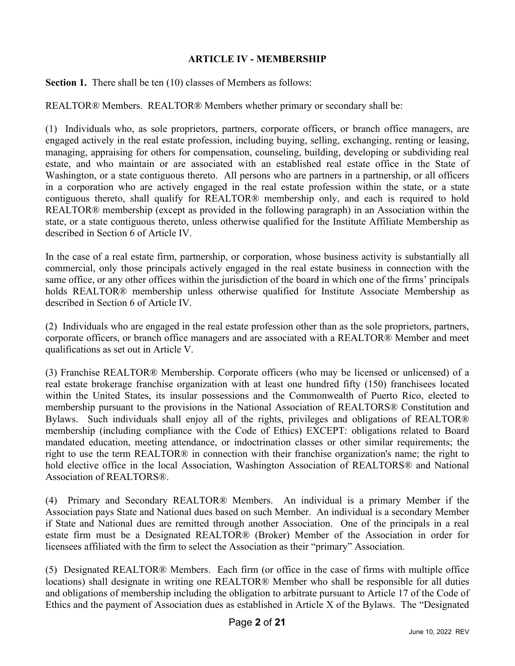## **ARTICLE IV - MEMBERSHIP**

**Section 1.** There shall be ten (10) classes of Members as follows:

REALTOR® Members. REALTOR® Members whether primary or secondary shall be:

(1) Individuals who, as sole proprietors, partners, corporate officers, or branch office managers, are engaged actively in the real estate profession, including buying, selling, exchanging, renting or leasing, managing, appraising for others for compensation, counseling, building, developing or subdividing real estate, and who maintain or are associated with an established real estate office in the State of Washington, or a state contiguous thereto. All persons who are partners in a partnership, or all officers in a corporation who are actively engaged in the real estate profession within the state, or a state contiguous thereto, shall qualify for REALTOR® membership only, and each is required to hold REALTOR® membership (except as provided in the following paragraph) in an Association within the state, or a state contiguous thereto, unless otherwise qualified for the Institute Affiliate Membership as described in Section 6 of Article IV.

In the case of a real estate firm, partnership, or corporation, whose business activity is substantially all commercial, only those principals actively engaged in the real estate business in connection with the same office, or any other offices within the jurisdiction of the board in which one of the firms' principals holds REALTOR® membership unless otherwise qualified for Institute Associate Membership as described in Section 6 of Article IV.

(2) Individuals who are engaged in the real estate profession other than as the sole proprietors, partners, corporate officers, or branch office managers and are associated with a REALTOR® Member and meet qualifications as set out in Article V.

(3) Franchise REALTOR® Membership. Corporate officers (who may be licensed or unlicensed) of a real estate brokerage franchise organization with at least one hundred fifty (150) franchisees located within the United States, its insular possessions and the Commonwealth of Puerto Rico, elected to membership pursuant to the provisions in the National Association of REALTORS® Constitution and Bylaws. Such individuals shall enjoy all of the rights, privileges and obligations of REALTOR® membership (including compliance with the Code of Ethics) EXCEPT: obligations related to Board mandated education, meeting attendance, or indoctrination classes or other similar requirements; the right to use the term REALTOR® in connection with their franchise organization's name; the right to hold elective office in the local Association, Washington Association of REALTORS® and National Association of REALTORS®.

(4) Primary and Secondary REALTOR® Members. An individual is a primary Member if the Association pays State and National dues based on such Member. An individual is a secondary Member if State and National dues are remitted through another Association. One of the principals in a real estate firm must be a Designated REALTOR® (Broker) Member of the Association in order for licensees affiliated with the firm to select the Association as their "primary" Association.

(5) Designated REALTOR® Members. Each firm (or office in the case of firms with multiple office locations) shall designate in writing one REALTOR® Member who shall be responsible for all duties and obligations of membership including the obligation to arbitrate pursuant to Article 17 of the Code of Ethics and the payment of Association dues as established in Article X of the Bylaws. The "Designated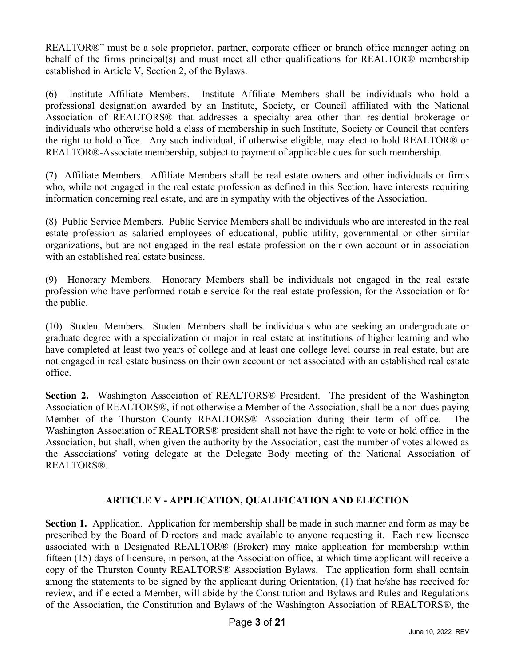REALTOR®" must be a sole proprietor, partner, corporate officer or branch office manager acting on behalf of the firms principal(s) and must meet all other qualifications for REALTOR® membership established in Article V, Section 2, of the Bylaws.

(6) Institute Affiliate Members. Institute Affiliate Members shall be individuals who hold a professional designation awarded by an Institute, Society, or Council affiliated with the National Association of REALTORS® that addresses a specialty area other than residential brokerage or individuals who otherwise hold a class of membership in such Institute, Society or Council that confers the right to hold office. Any such individual, if otherwise eligible, may elect to hold REALTOR® or REALTOR®-Associate membership, subject to payment of applicable dues for such membership.

(7) Affiliate Members. Affiliate Members shall be real estate owners and other individuals or firms who, while not engaged in the real estate profession as defined in this Section, have interests requiring information concerning real estate, and are in sympathy with the objectives of the Association.

(8) Public Service Members. Public Service Members shall be individuals who are interested in the real estate profession as salaried employees of educational, public utility, governmental or other similar organizations, but are not engaged in the real estate profession on their own account or in association with an established real estate business.

(9) Honorary Members. Honorary Members shall be individuals not engaged in the real estate profession who have performed notable service for the real estate profession, for the Association or for the public.

(10) Student Members. Student Members shall be individuals who are seeking an undergraduate or graduate degree with a specialization or major in real estate at institutions of higher learning and who have completed at least two years of college and at least one college level course in real estate, but are not engaged in real estate business on their own account or not associated with an established real estate office.

**Section 2.** Washington Association of REALTORS® President. The president of the Washington Association of REALTORS®, if not otherwise a Member of the Association, shall be a non-dues paying Member of the Thurston County REALTORS® Association during their term of office. The Washington Association of REALTORS® president shall not have the right to vote or hold office in the Association, but shall, when given the authority by the Association, cast the number of votes allowed as the Associations' voting delegate at the Delegate Body meeting of the National Association of REALTORS®.

## **ARTICLE V - APPLICATION, QUALIFICATION AND ELECTION**

**Section 1.** Application. Application for membership shall be made in such manner and form as may be prescribed by the Board of Directors and made available to anyone requesting it. Each new licensee associated with a Designated REALTOR® (Broker) may make application for membership within fifteen (15) days of licensure, in person, at the Association office, at which time applicant will receive a copy of the Thurston County REALTORS® Association Bylaws. The application form shall contain among the statements to be signed by the applicant during Orientation, (1) that he/she has received for review, and if elected a Member, will abide by the Constitution and Bylaws and Rules and Regulations of the Association, the Constitution and Bylaws of the Washington Association of REALTORS®, the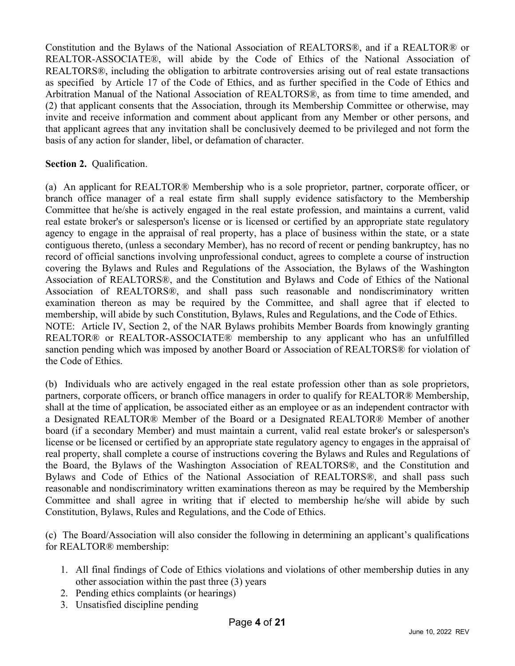Constitution and the Bylaws of the National Association of REALTORS®, and if a REALTOR® or REALTOR-ASSOCIATE®, will abide by the Code of Ethics of the National Association of REALTORS®, including the obligation to arbitrate controversies arising out of real estate transactions as specified by Article 17 of the Code of Ethics, and as further specified in the Code of Ethics and Arbitration Manual of the National Association of REALTORS®, as from time to time amended, and (2) that applicant consents that the Association, through its Membership Committee or otherwise, may invite and receive information and comment about applicant from any Member or other persons, and that applicant agrees that any invitation shall be conclusively deemed to be privileged and not form the basis of any action for slander, libel, or defamation of character.

## **Section 2. Qualification.**

(a) An applicant for REALTOR® Membership who is a sole proprietor, partner, corporate officer, or branch office manager of a real estate firm shall supply evidence satisfactory to the Membership Committee that he/she is actively engaged in the real estate profession, and maintains a current, valid real estate broker's or salesperson's license or is licensed or certified by an appropriate state regulatory agency to engage in the appraisal of real property, has a place of business within the state, or a state contiguous thereto, (unless a secondary Member), has no record of recent or pending bankruptcy, has no record of official sanctions involving unprofessional conduct, agrees to complete a course of instruction covering the Bylaws and Rules and Regulations of the Association, the Bylaws of the Washington Association of REALTORS®, and the Constitution and Bylaws and Code of Ethics of the National Association of REALTORS®, and shall pass such reasonable and nondiscriminatory written examination thereon as may be required by the Committee, and shall agree that if elected to membership, will abide by such Constitution, Bylaws, Rules and Regulations, and the Code of Ethics. NOTE: Article IV, Section 2, of the NAR Bylaws prohibits Member Boards from knowingly granting REALTOR® or REALTOR-ASSOCIATE® membership to any applicant who has an unfulfilled sanction pending which was imposed by another Board or Association of REALTORS® for violation of the Code of Ethics.

(b) Individuals who are actively engaged in the real estate profession other than as sole proprietors, partners, corporate officers, or branch office managers in order to qualify for REALTOR® Membership, shall at the time of application, be associated either as an employee or as an independent contractor with a Designated REALTOR® Member of the Board or a Designated REALTOR® Member of another board (if a secondary Member) and must maintain a current, valid real estate broker's or salesperson's license or be licensed or certified by an appropriate state regulatory agency to engages in the appraisal of real property, shall complete a course of instructions covering the Bylaws and Rules and Regulations of the Board, the Bylaws of the Washington Association of REALTORS®, and the Constitution and Bylaws and Code of Ethics of the National Association of REALTORS®, and shall pass such reasonable and nondiscriminatory written examinations thereon as may be required by the Membership Committee and shall agree in writing that if elected to membership he/she will abide by such Constitution, Bylaws, Rules and Regulations, and the Code of Ethics.

(c) The Board/Association will also consider the following in determining an applicant's qualifications for REALTOR® membership:

- 1. All final findings of Code of Ethics violations and violations of other membership duties in any other association within the past three (3) years
- 2. Pending ethics complaints (or hearings)
- 3. Unsatisfied discipline pending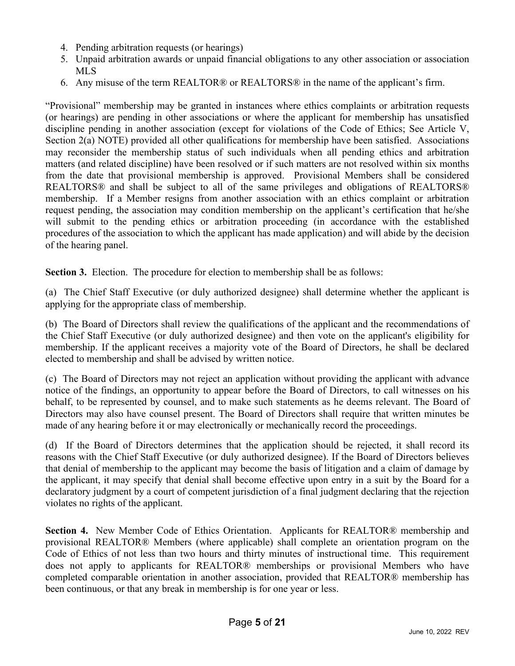- 4. Pending arbitration requests (or hearings)
- 5. Unpaid arbitration awards or unpaid financial obligations to any other association or association MLS
- 6. Any misuse of the term REALTOR® or REALTORS® in the name of the applicant's firm.

"Provisional" membership may be granted in instances where ethics complaints or arbitration requests (or hearings) are pending in other associations or where the applicant for membership has unsatisfied discipline pending in another association (except for violations of the Code of Ethics; See Article V, Section 2(a) NOTE) provided all other qualifications for membership have been satisfied. Associations may reconsider the membership status of such individuals when all pending ethics and arbitration matters (and related discipline) have been resolved or if such matters are not resolved within six months from the date that provisional membership is approved. Provisional Members shall be considered REALTORS® and shall be subject to all of the same privileges and obligations of REALTORS® membership. If a Member resigns from another association with an ethics complaint or arbitration request pending, the association may condition membership on the applicant's certification that he/she will submit to the pending ethics or arbitration proceeding (in accordance with the established procedures of the association to which the applicant has made application) and will abide by the decision of the hearing panel.

**Section 3.** Election. The procedure for election to membership shall be as follows:

(a) The Chief Staff Executive (or duly authorized designee) shall determine whether the applicant is applying for the appropriate class of membership.

(b) The Board of Directors shall review the qualifications of the applicant and the recommendations of the Chief Staff Executive (or duly authorized designee) and then vote on the applicant's eligibility for membership. If the applicant receives a majority vote of the Board of Directors, he shall be declared elected to membership and shall be advised by written notice.

(c) The Board of Directors may not reject an application without providing the applicant with advance notice of the findings, an opportunity to appear before the Board of Directors, to call witnesses on his behalf, to be represented by counsel, and to make such statements as he deems relevant. The Board of Directors may also have counsel present. The Board of Directors shall require that written minutes be made of any hearing before it or may electronically or mechanically record the proceedings.

(d) If the Board of Directors determines that the application should be rejected, it shall record its reasons with the Chief Staff Executive (or duly authorized designee). If the Board of Directors believes that denial of membership to the applicant may become the basis of litigation and a claim of damage by the applicant, it may specify that denial shall become effective upon entry in a suit by the Board for a declaratory judgment by a court of competent jurisdiction of a final judgment declaring that the rejection violates no rights of the applicant.

**Section 4.** New Member Code of Ethics Orientation. Applicants for REALTOR® membership and provisional REALTOR® Members (where applicable) shall complete an orientation program on the Code of Ethics of not less than two hours and thirty minutes of instructional time. This requirement does not apply to applicants for REALTOR® memberships or provisional Members who have completed comparable orientation in another association, provided that REALTOR® membership has been continuous, or that any break in membership is for one year or less.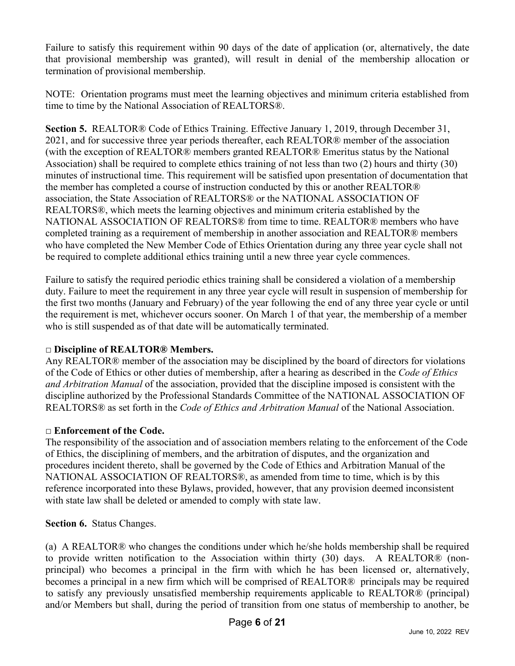Failure to satisfy this requirement within 90 days of the date of application (or, alternatively, the date that provisional membership was granted), will result in denial of the membership allocation or termination of provisional membership.

NOTE: Orientation programs must meet the learning objectives and minimum criteria established from time to time by the National Association of REALTORS®.

**Section 5.** REALTOR® Code of Ethics Training. Effective January 1, 2019, through December 31, 2021, and for successive three year periods thereafter, each REALTOR® member of the association (with the exception of REALTOR® members granted REALTOR® Emeritus status by the National Association) shall be required to complete ethics training of not less than two (2) hours and thirty (30) minutes of instructional time. This requirement will be satisfied upon presentation of documentation that the member has completed a course of instruction conducted by this or another REALTOR® association, the State Association of REALTORS® or the NATIONAL ASSOCIATION OF REALTORS®, which meets the learning objectives and minimum criteria established by the NATIONAL ASSOCIATION OF REALTORS® from time to time. REALTOR® members who have completed training as a requirement of membership in another association and REALTOR® members who have completed the New Member Code of Ethics Orientation during any three year cycle shall not be required to complete additional ethics training until a new three year cycle commences.

Failure to satisfy the required periodic ethics training shall be considered a violation of a membership duty. Failure to meet the requirement in any three year cycle will result in suspension of membership for the first two months (January and February) of the year following the end of any three year cycle or until the requirement is met, whichever occurs sooner. On March 1 of that year, the membership of a member who is still suspended as of that date will be automatically terminated.

# **□ Discipline of REALTOR® Members.**

Any REALTOR® member of the association may be disciplined by the board of directors for violations of the Code of Ethics or other duties of membership, after a hearing as described in the *Code of Ethics and Arbitration Manual* of the association, provided that the discipline imposed is consistent with the discipline authorized by the Professional Standards Committee of the NATIONAL ASSOCIATION OF REALTORS® as set forth in the *Code of Ethics and Arbitration Manual* of the National Association.

# **□ Enforcement of the Code.**

The responsibility of the association and of association members relating to the enforcement of the Code of Ethics, the disciplining of members, and the arbitration of disputes, and the organization and procedures incident thereto, shall be governed by the Code of Ethics and Arbitration Manual of the NATIONAL ASSOCIATION OF REALTORS®, as amended from time to time, which is by this reference incorporated into these Bylaws, provided, however, that any provision deemed inconsistent with state law shall be deleted or amended to comply with state law.

## **Section 6.** Status Changes.

(a) A REALTOR® who changes the conditions under which he/she holds membership shall be required to provide written notification to the Association within thirty (30) days. A REALTOR® (nonprincipal) who becomes a principal in the firm with which he has been licensed or, alternatively, becomes a principal in a new firm which will be comprised of REALTOR® principals may be required to satisfy any previously unsatisfied membership requirements applicable to REALTOR® (principal) and/or Members but shall, during the period of transition from one status of membership to another, be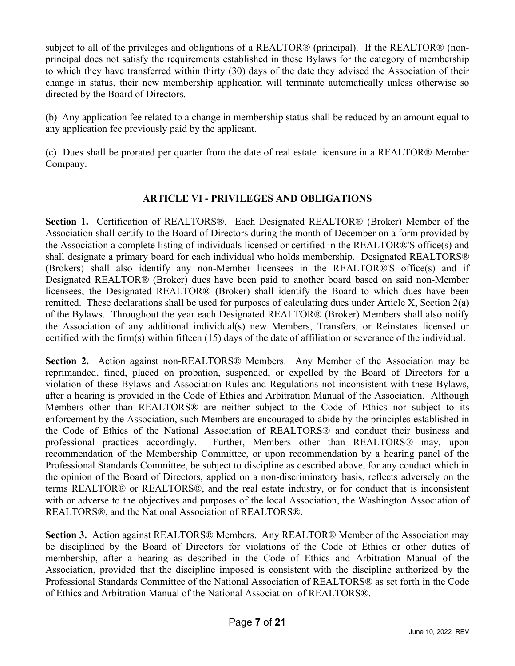subject to all of the privileges and obligations of a REALTOR® (principal). If the REALTOR® (nonprincipal does not satisfy the requirements established in these Bylaws for the category of membership to which they have transferred within thirty (30) days of the date they advised the Association of their change in status, their new membership application will terminate automatically unless otherwise so directed by the Board of Directors.

(b) Any application fee related to a change in membership status shall be reduced by an amount equal to any application fee previously paid by the applicant.

(c) Dues shall be prorated per quarter from the date of real estate licensure in a REALTOR® Member Company.

# **ARTICLE VI - PRIVILEGES AND OBLIGATIONS**

**Section 1.** Certification of REALTORS®. Each Designated REALTOR® (Broker) Member of the Association shall certify to the Board of Directors during the month of December on a form provided by the Association a complete listing of individuals licensed or certified in the REALTOR®'S office(s) and shall designate a primary board for each individual who holds membership. Designated REALTORS® (Brokers) shall also identify any non-Member licensees in the REALTOR®'S office(s) and if Designated REALTOR® (Broker) dues have been paid to another board based on said non-Member licensees, the Designated REALTOR® (Broker) shall identify the Board to which dues have been remitted. These declarations shall be used for purposes of calculating dues under Article X, Section 2(a) of the Bylaws. Throughout the year each Designated REALTOR® (Broker) Members shall also notify the Association of any additional individual(s) new Members, Transfers, or Reinstates licensed or certified with the firm(s) within fifteen (15) days of the date of affiliation or severance of the individual.

**Section 2.** Action against non-REALTORS® Members. Any Member of the Association may be reprimanded, fined, placed on probation, suspended, or expelled by the Board of Directors for a violation of these Bylaws and Association Rules and Regulations not inconsistent with these Bylaws, after a hearing is provided in the Code of Ethics and Arbitration Manual of the Association. Although Members other than REALTORS® are neither subject to the Code of Ethics nor subject to its enforcement by the Association, such Members are encouraged to abide by the principles established in the Code of Ethics of the National Association of REALTORS® and conduct their business and professional practices accordingly. Further, Members other than REALTORS® may, upon recommendation of the Membership Committee, or upon recommendation by a hearing panel of the Professional Standards Committee, be subject to discipline as described above, for any conduct which in the opinion of the Board of Directors, applied on a non-discriminatory basis, reflects adversely on the terms REALTOR® or REALTORS®, and the real estate industry, or for conduct that is inconsistent with or adverse to the objectives and purposes of the local Association, the Washington Association of REALTORS®, and the National Association of REALTORS®.

**Section 3.** Action against REALTORS® Members. Any REALTOR® Member of the Association may be disciplined by the Board of Directors for violations of the Code of Ethics or other duties of membership, after a hearing as described in the Code of Ethics and Arbitration Manual of the Association, provided that the discipline imposed is consistent with the discipline authorized by the Professional Standards Committee of the National Association of REALTORS® as set forth in the Code of Ethics and Arbitration Manual of the National Association of REALTORS®.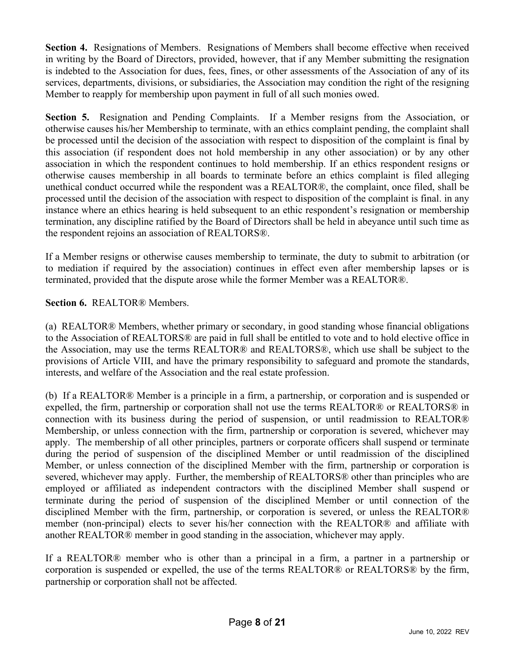**Section 4.** Resignations of Members. Resignations of Members shall become effective when received in writing by the Board of Directors, provided, however, that if any Member submitting the resignation is indebted to the Association for dues, fees, fines, or other assessments of the Association of any of its services, departments, divisions, or subsidiaries, the Association may condition the right of the resigning Member to reapply for membership upon payment in full of all such monies owed.

**Section 5.** Resignation and Pending Complaints. If a Member resigns from the Association, or otherwise causes his/her Membership to terminate, with an ethics complaint pending, the complaint shall be processed until the decision of the association with respect to disposition of the complaint is final by this association (if respondent does not hold membership in any other association) or by any other association in which the respondent continues to hold membership. If an ethics respondent resigns or otherwise causes membership in all boards to terminate before an ethics complaint is filed alleging unethical conduct occurred while the respondent was a REALTOR®, the complaint, once filed, shall be processed until the decision of the association with respect to disposition of the complaint is final. in any instance where an ethics hearing is held subsequent to an ethic respondent's resignation or membership termination, any discipline ratified by the Board of Directors shall be held in abeyance until such time as the respondent rejoins an association of REALTORS®.

If a Member resigns or otherwise causes membership to terminate, the duty to submit to arbitration (or to mediation if required by the association) continues in effect even after membership lapses or is terminated, provided that the dispute arose while the former Member was a REALTOR®.

# **Section 6.** REALTOR® Members.

(a) REALTOR® Members, whether primary or secondary, in good standing whose financial obligations to the Association of REALTORS® are paid in full shall be entitled to vote and to hold elective office in the Association, may use the terms REALTOR® and REALTORS®, which use shall be subject to the provisions of Article VIII, and have the primary responsibility to safeguard and promote the standards, interests, and welfare of the Association and the real estate profession.

(b) If a REALTOR® Member is a principle in a firm, a partnership, or corporation and is suspended or expelled, the firm, partnership or corporation shall not use the terms REALTOR® or REALTORS® in connection with its business during the period of suspension, or until readmission to REALTOR® Membership, or unless connection with the firm, partnership or corporation is severed, whichever may apply. The membership of all other principles, partners or corporate officers shall suspend or terminate during the period of suspension of the disciplined Member or until readmission of the disciplined Member, or unless connection of the disciplined Member with the firm, partnership or corporation is severed, whichever may apply. Further, the membership of REALTORS® other than principles who are employed or affiliated as independent contractors with the disciplined Member shall suspend or terminate during the period of suspension of the disciplined Member or until connection of the disciplined Member with the firm, partnership, or corporation is severed, or unless the REALTOR® member (non-principal) elects to sever his/her connection with the REALTOR® and affiliate with another REALTOR® member in good standing in the association, whichever may apply.

If a REALTOR® member who is other than a principal in a firm, a partner in a partnership or corporation is suspended or expelled, the use of the terms REALTOR® or REALTORS® by the firm, partnership or corporation shall not be affected.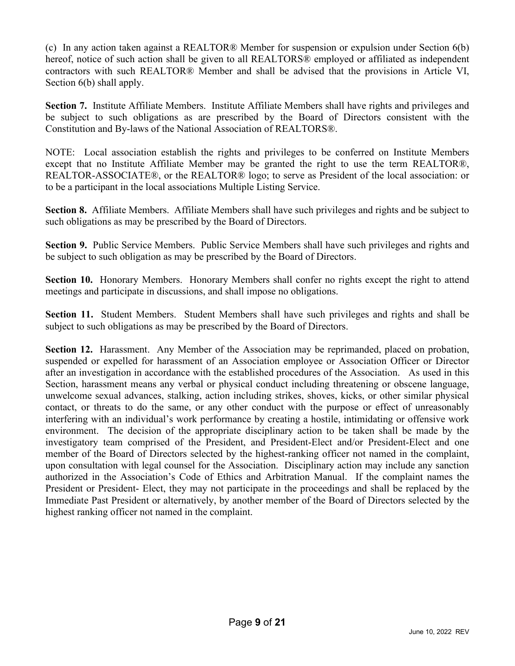(c) In any action taken against a REALTOR® Member for suspension or expulsion under Section 6(b) hereof, notice of such action shall be given to all REALTORS® employed or affiliated as independent contractors with such REALTOR® Member and shall be advised that the provisions in Article VI, Section 6(b) shall apply.

**Section 7.** Institute Affiliate Members. Institute Affiliate Members shall have rights and privileges and be subject to such obligations as are prescribed by the Board of Directors consistent with the Constitution and By-laws of the National Association of REALTORS®.

NOTE: Local association establish the rights and privileges to be conferred on Institute Members except that no Institute Affiliate Member may be granted the right to use the term REALTOR®, REALTOR-ASSOCIATE®, or the REALTOR® logo; to serve as President of the local association: or to be a participant in the local associations Multiple Listing Service.

**Section 8.** Affiliate Members. Affiliate Members shall have such privileges and rights and be subject to such obligations as may be prescribed by the Board of Directors.

**Section 9.** Public Service Members. Public Service Members shall have such privileges and rights and be subject to such obligation as may be prescribed by the Board of Directors.

**Section 10.** Honorary Members. Honorary Members shall confer no rights except the right to attend meetings and participate in discussions, and shall impose no obligations.

**Section 11.** Student Members. Student Members shall have such privileges and rights and shall be subject to such obligations as may be prescribed by the Board of Directors.

**Section 12.** Harassment. Any Member of the Association may be reprimanded, placed on probation, suspended or expelled for harassment of an Association employee or Association Officer or Director after an investigation in accordance with the established procedures of the Association. As used in this Section, harassment means any verbal or physical conduct including threatening or obscene language, unwelcome sexual advances, stalking, action including strikes, shoves, kicks, or other similar physical contact, or threats to do the same, or any other conduct with the purpose or effect of unreasonably interfering with an individual's work performance by creating a hostile, intimidating or offensive work environment. The decision of the appropriate disciplinary action to be taken shall be made by the investigatory team comprised of the President, and President-Elect and/or President-Elect and one member of the Board of Directors selected by the highest-ranking officer not named in the complaint, upon consultation with legal counsel for the Association. Disciplinary action may include any sanction authorized in the Association's Code of Ethics and Arbitration Manual. If the complaint names the President or President- Elect, they may not participate in the proceedings and shall be replaced by the Immediate Past President or alternatively, by another member of the Board of Directors selected by the highest ranking officer not named in the complaint.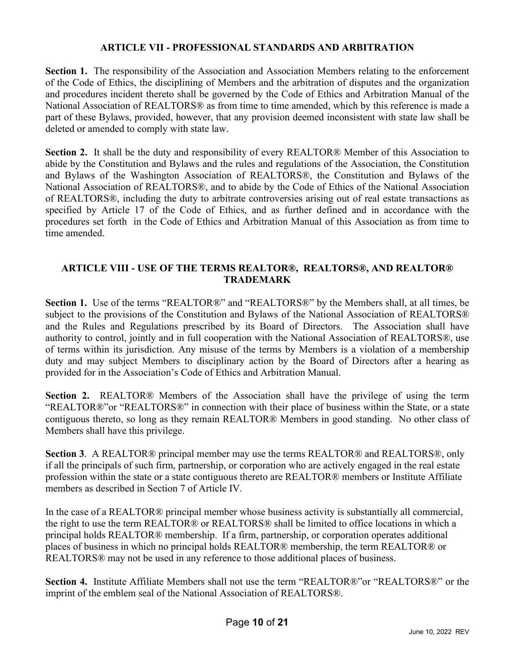### **ARTICLE VII - PROFESSIONAL STANDARDS AND ARBITRATION**

**Section 1.** The responsibility of the Association and Association Members relating to the enforcement of the Code of Ethics, the disciplining of Members and the arbitration of disputes and the organization and procedures incident thereto shall be governed by the Code of Ethics and Arbitration Manual of the National Association of REALTORS® as from time to time amended, which by this reference is made a part of these Bylaws, provided, however, that any provision deemed inconsistent with state law shall be deleted or amended to comply with state law.

**Section 2.** It shall be the duty and responsibility of every REALTOR® Member of this Association to abide by the Constitution and Bylaws and the rules and regulations of the Association, the Constitution and Bylaws of the Washington Association of REALTORS®, the Constitution and Bylaws of the National Association of REALTORS®, and to abide by the Code of Ethics of the National Association of REALTORS®, including the duty to arbitrate controversies arising out of real estate transactions as specified by Article 17 of the Code of Ethics, and as further defined and in accordance with the procedures set forth in the Code of Ethics and Arbitration Manual of this Association as from time to time amended.

### **ARTICLE VIII - USE OF THE TERMS REALTOR®, REALTORS®, AND REALTOR® TRADEMARK**

**Section 1.** Use of the terms "REALTOR®" and "REALTORS®" by the Members shall, at all times, be subject to the provisions of the Constitution and Bylaws of the National Association of REALTORS® and the Rules and Regulations prescribed by its Board of Directors. The Association shall have authority to control, jointly and in full cooperation with the National Association of REALTORS®, use of terms within its jurisdiction. Any misuse of the terms by Members is a violation of a membership duty and may subject Members to disciplinary action by the Board of Directors after a hearing as provided for in the Association's Code of Ethics and Arbitration Manual.

**Section 2.** REALTOR® Members of the Association shall have the privilege of using the term "REALTOR®"or "REALTORS®" in connection with their place of business within the State, or a state contiguous thereto, so long as they remain REALTOR® Members in good standing. No other class of Members shall have this privilege.

**Section 3**. A REALTOR® principal member may use the terms REALTOR® and REALTORS®, only if all the principals of such firm, partnership, or corporation who are actively engaged in the real estate profession within the state or a state contiguous thereto are REALTOR® members or Institute Affiliate members as described in Section 7 of Article IV.

In the case of a REALTOR® principal member whose business activity is substantially all commercial, the right to use the term REALTOR® or REALTORS® shall be limited to office locations in which a principal holds REALTOR® membership. If a firm, partnership, or corporation operates additional places of business in which no principal holds REALTOR® membership, the term REALTOR® or REALTORS® may not be used in any reference to those additional places of business.

**Section 4.** Institute Affiliate Members shall not use the term "REALTOR®"or "REALTORS®" or the imprint of the emblem seal of the National Association of REALTORS®.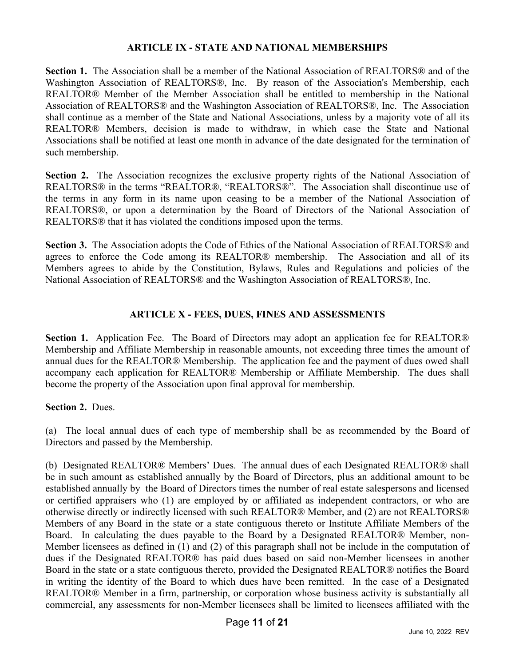#### **ARTICLE IX - STATE AND NATIONAL MEMBERSHIPS**

**Section 1.** The Association shall be a member of the National Association of REALTORS® and of the Washington Association of REALTORS®, Inc. By reason of the Association's Membership, each REALTOR® Member of the Member Association shall be entitled to membership in the National Association of REALTORS® and the Washington Association of REALTORS®, Inc. The Association shall continue as a member of the State and National Associations, unless by a majority vote of all its REALTOR® Members, decision is made to withdraw, in which case the State and National Associations shall be notified at least one month in advance of the date designated for the termination of such membership.

Section 2. The Association recognizes the exclusive property rights of the National Association of REALTORS® in the terms "REALTOR®, "REALTORS®". The Association shall discontinue use of the terms in any form in its name upon ceasing to be a member of the National Association of REALTORS®, or upon a determination by the Board of Directors of the National Association of REALTORS® that it has violated the conditions imposed upon the terms.

**Section 3.** The Association adopts the Code of Ethics of the National Association of REALTORS® and agrees to enforce the Code among its REALTOR® membership. The Association and all of its Members agrees to abide by the Constitution, Bylaws, Rules and Regulations and policies of the National Association of REALTORS® and the Washington Association of REALTORS®, Inc.

## **ARTICLE X - FEES, DUES, FINES AND ASSESSMENTS**

**Section 1.** Application Fee. The Board of Directors may adopt an application fee for REALTOR® Membership and Affiliate Membership in reasonable amounts, not exceeding three times the amount of annual dues for the REALTOR® Membership. The application fee and the payment of dues owed shall accompany each application for REALTOR® Membership or Affiliate Membership. The dues shall become the property of the Association upon final approval for membership.

## **Section 2.** Dues.

(a) The local annual dues of each type of membership shall be as recommended by the Board of Directors and passed by the Membership.

(b) Designated REALTOR® Members' Dues. The annual dues of each Designated REALTOR® shall be in such amount as established annually by the Board of Directors, plus an additional amount to be established annually by the Board of Directors times the number of real estate salespersons and licensed or certified appraisers who (1) are employed by or affiliated as independent contractors, or who are otherwise directly or indirectly licensed with such REALTOR® Member, and (2) are not REALTORS® Members of any Board in the state or a state contiguous thereto or Institute Affiliate Members of the Board. In calculating the dues payable to the Board by a Designated REALTOR® Member, non-Member licensees as defined in (1) and (2) of this paragraph shall not be include in the computation of dues if the Designated REALTOR® has paid dues based on said non-Member licensees in another Board in the state or a state contiguous thereto, provided the Designated REALTOR® notifies the Board in writing the identity of the Board to which dues have been remitted. In the case of a Designated REALTOR® Member in a firm, partnership, or corporation whose business activity is substantially all commercial, any assessments for non-Member licensees shall be limited to licensees affiliated with the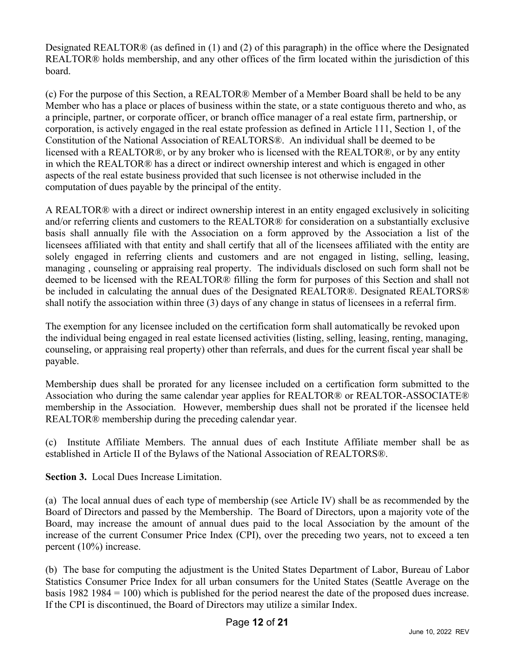Designated REALTOR® (as defined in (1) and (2) of this paragraph) in the office where the Designated REALTOR® holds membership, and any other offices of the firm located within the jurisdiction of this board.

(c) For the purpose of this Section, a REALTOR® Member of a Member Board shall be held to be any Member who has a place or places of business within the state, or a state contiguous thereto and who, as a principle, partner, or corporate officer, or branch office manager of a real estate firm, partnership, or corporation, is actively engaged in the real estate profession as defined in Article 111, Section 1, of the Constitution of the National Association of REALTORS®. An individual shall be deemed to be licensed with a REALTOR®, or by any broker who is licensed with the REALTOR®, or by any entity in which the REALTOR® has a direct or indirect ownership interest and which is engaged in other aspects of the real estate business provided that such licensee is not otherwise included in the computation of dues payable by the principal of the entity.

A REALTOR® with a direct or indirect ownership interest in an entity engaged exclusively in soliciting and/or referring clients and customers to the REALTOR® for consideration on a substantially exclusive basis shall annually file with the Association on a form approved by the Association a list of the licensees affiliated with that entity and shall certify that all of the licensees affiliated with the entity are solely engaged in referring clients and customers and are not engaged in listing, selling, leasing, managing , counseling or appraising real property. The individuals disclosed on such form shall not be deemed to be licensed with the REALTOR® filling the form for purposes of this Section and shall not be included in calculating the annual dues of the Designated REALTOR®. Designated REALTORS® shall notify the association within three (3) days of any change in status of licensees in a referral firm.

The exemption for any licensee included on the certification form shall automatically be revoked upon the individual being engaged in real estate licensed activities (listing, selling, leasing, renting, managing, counseling, or appraising real property) other than referrals, and dues for the current fiscal year shall be payable.

Membership dues shall be prorated for any licensee included on a certification form submitted to the Association who during the same calendar year applies for REALTOR® or REALTOR-ASSOCIATE® membership in the Association. However, membership dues shall not be prorated if the licensee held REALTOR® membership during the preceding calendar year.

(c) Institute Affiliate Members. The annual dues of each Institute Affiliate member shall be as established in Article II of the Bylaws of the National Association of REALTORS®.

**Section 3.** Local Dues Increase Limitation.

(a) The local annual dues of each type of membership (see Article IV) shall be as recommended by the Board of Directors and passed by the Membership. The Board of Directors, upon a majority vote of the Board, may increase the amount of annual dues paid to the local Association by the amount of the increase of the current Consumer Price Index (CPI), over the preceding two years, not to exceed a ten percent (10%) increase.

(b) The base for computing the adjustment is the United States Department of Labor, Bureau of Labor Statistics Consumer Price Index for all urban consumers for the United States (Seattle Average on the basis 1982 1984 = 100) which is published for the period nearest the date of the proposed dues increase. If the CPI is discontinued, the Board of Directors may utilize a similar Index.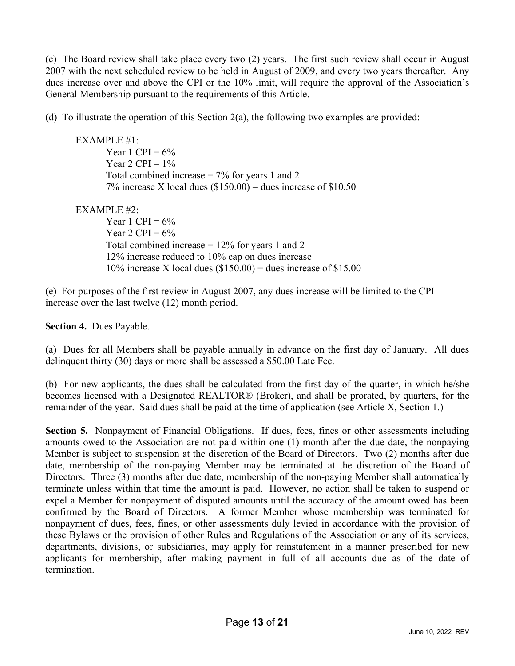(c) The Board review shall take place every two (2) years. The first such review shall occur in August 2007 with the next scheduled review to be held in August of 2009, and every two years thereafter. Any dues increase over and above the CPI or the 10% limit, will require the approval of the Association's General Membership pursuant to the requirements of this Article.

(d) To illustrate the operation of this Section 2(a), the following two examples are provided:

EXAMPLE #1: Year 1 CPI =  $6\%$ Year  $2$  CPI =  $1\%$ Total combined increase  $= 7\%$  for years 1 and 2 7% increase X local dues  $(\$150.00)$  = dues increase of  $\$10.50$ 

EXAMPLE  $#2$ :

Year 1 CPI =  $6\%$ Year 2 CPI =  $6\%$ Total combined increase  $= 12\%$  for years 1 and 2 12% increase reduced to 10% cap on dues increase 10% increase X local dues  $(\$150.00) =$  dues increase of  $\$15.00$ 

(e) For purposes of the first review in August 2007, any dues increase will be limited to the CPI increase over the last twelve (12) month period.

**Section 4.** Dues Payable.

(a) Dues for all Members shall be payable annually in advance on the first day of January. All dues delinquent thirty (30) days or more shall be assessed a \$50.00 Late Fee.

(b) For new applicants, the dues shall be calculated from the first day of the quarter, in which he/she becomes licensed with a Designated REALTOR® (Broker), and shall be prorated, by quarters, for the remainder of the year. Said dues shall be paid at the time of application (see Article X, Section 1.)

Section 5. Nonpayment of Financial Obligations. If dues, fees, fines or other assessments including amounts owed to the Association are not paid within one (1) month after the due date, the nonpaying Member is subject to suspension at the discretion of the Board of Directors. Two (2) months after due date, membership of the non-paying Member may be terminated at the discretion of the Board of Directors. Three (3) months after due date, membership of the non-paying Member shall automatically terminate unless within that time the amount is paid. However, no action shall be taken to suspend or expel a Member for nonpayment of disputed amounts until the accuracy of the amount owed has been confirmed by the Board of Directors. A former Member whose membership was terminated for nonpayment of dues, fees, fines, or other assessments duly levied in accordance with the provision of these Bylaws or the provision of other Rules and Regulations of the Association or any of its services, departments, divisions, or subsidiaries, may apply for reinstatement in a manner prescribed for new applicants for membership, after making payment in full of all accounts due as of the date of termination.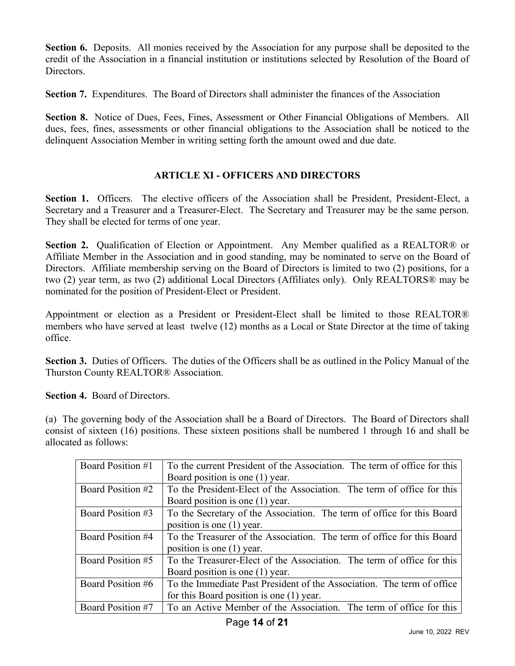**Section 6.** Deposits. All monies received by the Association for any purpose shall be deposited to the credit of the Association in a financial institution or institutions selected by Resolution of the Board of Directors.

**Section 7.** Expenditures. The Board of Directors shall administer the finances of the Association

**Section 8.** Notice of Dues, Fees, Fines, Assessment or Other Financial Obligations of Members. All dues, fees, fines, assessments or other financial obligations to the Association shall be noticed to the delinquent Association Member in writing setting forth the amount owed and due date.

## **ARTICLE XI - OFFICERS AND DIRECTORS**

**Section 1.** Officers. The elective officers of the Association shall be President, President-Elect, a Secretary and a Treasurer and a Treasurer-Elect. The Secretary and Treasurer may be the same person. They shall be elected for terms of one year.

**Section 2.** Qualification of Election or Appointment. Any Member qualified as a REALTOR® or Affiliate Member in the Association and in good standing, may be nominated to serve on the Board of Directors. Affiliate membership serving on the Board of Directors is limited to two (2) positions, for a two (2) year term, as two (2) additional Local Directors (Affiliates only). Only REALTORS® may be nominated for the position of President-Elect or President.

Appointment or election as a President or President-Elect shall be limited to those REALTOR® members who have served at least twelve (12) months as a Local or State Director at the time of taking office.

**Section 3.** Duties of Officers. The duties of the Officers shall be as outlined in the Policy Manual of the Thurston County REALTOR® Association.

**Section 4.** Board of Directors.

(a) The governing body of the Association shall be a Board of Directors. The Board of Directors shall consist of sixteen (16) positions. These sixteen positions shall be numbered 1 through 16 and shall be allocated as follows:

| Board Position #1 | To the current President of the Association. The term of office for this<br>Board position is one (1) year. |
|-------------------|-------------------------------------------------------------------------------------------------------------|
| Board Position #2 | To the President-Elect of the Association. The term of office for this                                      |
|                   | Board position is one (1) year.                                                                             |
| Board Position #3 | To the Secretary of the Association. The term of office for this Board                                      |
|                   | position is one $(1)$ year.                                                                                 |
| Board Position #4 | To the Treasurer of the Association. The term of office for this Board                                      |
|                   | position is one $(1)$ year.                                                                                 |
| Board Position #5 | To the Treasurer-Elect of the Association. The term of office for this                                      |
|                   | Board position is one (1) year.                                                                             |
| Board Position #6 | To the Immediate Past President of the Association. The term of office                                      |
|                   | for this Board position is one (1) year.                                                                    |
| Board Position #7 | To an Active Member of the Association. The term of office for this                                         |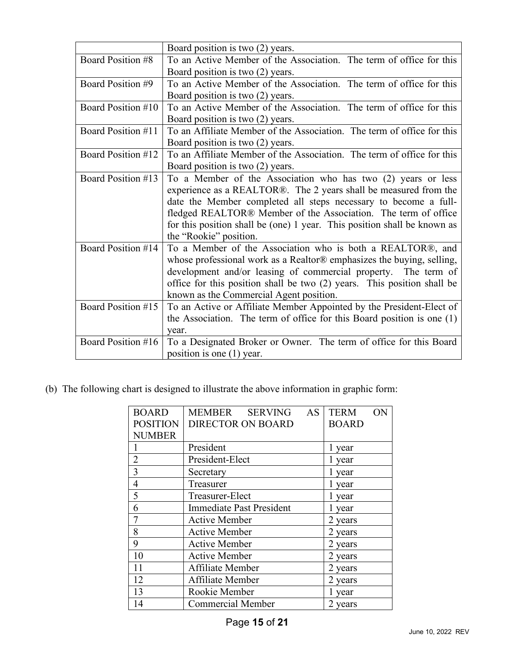|                    | Board position is two (2) years.                                         |  |  |
|--------------------|--------------------------------------------------------------------------|--|--|
| Board Position #8  | To an Active Member of the Association. The term of office for this      |  |  |
|                    | Board position is two (2) years.                                         |  |  |
| Board Position #9  | To an Active Member of the Association. The term of office for this      |  |  |
|                    | Board position is two (2) years.                                         |  |  |
| Board Position #10 | To an Active Member of the Association. The term of office for this      |  |  |
|                    | Board position is two (2) years.                                         |  |  |
| Board Position #11 | To an Affiliate Member of the Association. The term of office for this   |  |  |
|                    | Board position is two (2) years.                                         |  |  |
| Board Position #12 | To an Affiliate Member of the Association. The term of office for this   |  |  |
|                    | Board position is two (2) years.                                         |  |  |
| Board Position #13 | To a Member of the Association who has two (2) years or less             |  |  |
|                    | experience as a REALTOR®. The 2 years shall be measured from the         |  |  |
|                    | date the Member completed all steps necessary to become a full-          |  |  |
|                    | fledged REALTOR® Member of the Association. The term of office           |  |  |
|                    | for this position shall be (one) 1 year. This position shall be known as |  |  |
|                    | the "Rookie" position.                                                   |  |  |
| Board Position #14 | To a Member of the Association who is both a REALTOR®, and               |  |  |
|                    | whose professional work as a Realtor® emphasizes the buying, selling,    |  |  |
|                    | development and/or leasing of commercial property. The term of           |  |  |
|                    | office for this position shall be two (2) years. This position shall be  |  |  |
|                    | known as the Commercial Agent position.                                  |  |  |
| Board Position #15 | To an Active or Affiliate Member Appointed by the President-Elect of     |  |  |
|                    | the Association. The term of office for this Board position is one $(1)$ |  |  |
|                    | year.                                                                    |  |  |
| Board Position #16 | To a Designated Broker or Owner. The term of office for this Board       |  |  |
|                    | position is one $(1)$ year.                                              |  |  |

(b) The following chart is designed to illustrate the above information in graphic form:

| <b>BOARD</b>    | MEMBER SERVING<br>AS            | <b>TERM</b><br>ON |
|-----------------|---------------------------------|-------------------|
| <b>POSITION</b> | <b>DIRECTOR ON BOARD</b>        | <b>BOARD</b>      |
| <b>NUMBER</b>   |                                 |                   |
|                 | President                       | l year            |
| $\overline{2}$  | President-Elect                 | 1 year            |
| $\overline{3}$  | Secretary                       | 1 year            |
| $\overline{4}$  | Treasurer                       | 1 year            |
| 5               | Treasurer-Elect                 | 1 year            |
| 6               | <b>Immediate Past President</b> | l year            |
|                 | <b>Active Member</b>            | 2 years           |
| 8               | <b>Active Member</b>            | 2 years           |
| 9               | <b>Active Member</b>            | 2 years           |
| 10              | <b>Active Member</b>            | 2 years           |
| 11              | Affiliate Member                | 2 years           |
| 12              | Affiliate Member                | 2 years           |
| 13              | Rookie Member                   | 1 year            |
| 14              | <b>Commercial Member</b>        | 2 years           |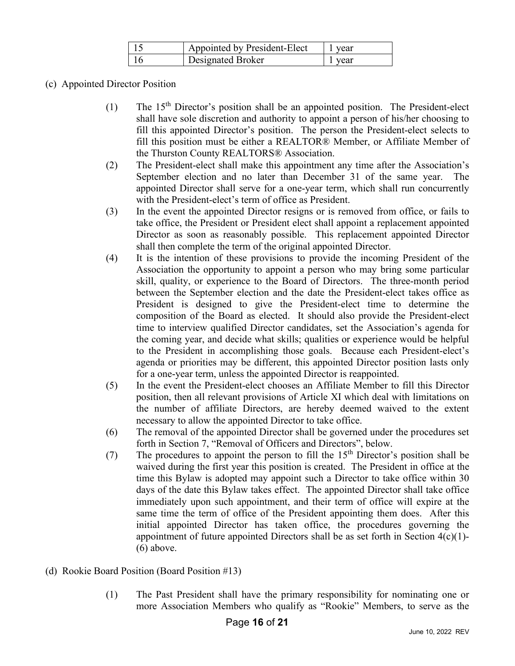| Appointed by President-Elect | I vear |
|------------------------------|--------|
| Designated Broker            | vear   |

- (c) Appointed Director Position
	- $(1)$  The 15<sup>th</sup> Director's position shall be an appointed position. The President-elect shall have sole discretion and authority to appoint a person of his/her choosing to fill this appointed Director's position. The person the President-elect selects to fill this position must be either a REALTOR® Member, or Affiliate Member of the Thurston County REALTORS® Association.
	- (2) The President-elect shall make this appointment any time after the Association's September election and no later than December 31 of the same year. The appointed Director shall serve for a one-year term, which shall run concurrently with the President-elect's term of office as President.
	- (3) In the event the appointed Director resigns or is removed from office, or fails to take office, the President or President elect shall appoint a replacement appointed Director as soon as reasonably possible. This replacement appointed Director shall then complete the term of the original appointed Director.
	- (4) It is the intention of these provisions to provide the incoming President of the Association the opportunity to appoint a person who may bring some particular skill, quality, or experience to the Board of Directors. The three-month period between the September election and the date the President-elect takes office as President is designed to give the President-elect time to determine the composition of the Board as elected. It should also provide the President-elect time to interview qualified Director candidates, set the Association's agenda for the coming year, and decide what skills; qualities or experience would be helpful to the President in accomplishing those goals. Because each President-elect's agenda or priorities may be different, this appointed Director position lasts only for a one-year term, unless the appointed Director is reappointed.
	- (5) In the event the President-elect chooses an Affiliate Member to fill this Director position, then all relevant provisions of Article XI which deal with limitations on the number of affiliate Directors, are hereby deemed waived to the extent necessary to allow the appointed Director to take office.
	- (6) The removal of the appointed Director shall be governed under the procedures set forth in Section 7, "Removal of Officers and Directors", below.
	- (7) The procedures to appoint the person to fill the  $15<sup>th</sup>$  Director's position shall be waived during the first year this position is created. The President in office at the time this Bylaw is adopted may appoint such a Director to take office within 30 days of the date this Bylaw takes effect. The appointed Director shall take office immediately upon such appointment, and their term of office will expire at the same time the term of office of the President appointing them does. After this initial appointed Director has taken office, the procedures governing the appointment of future appointed Directors shall be as set forth in Section  $4(c)(1)$ -(6) above.
- (d) Rookie Board Position (Board Position #13)
	- (1) The Past President shall have the primary responsibility for nominating one or more Association Members who qualify as "Rookie" Members, to serve as the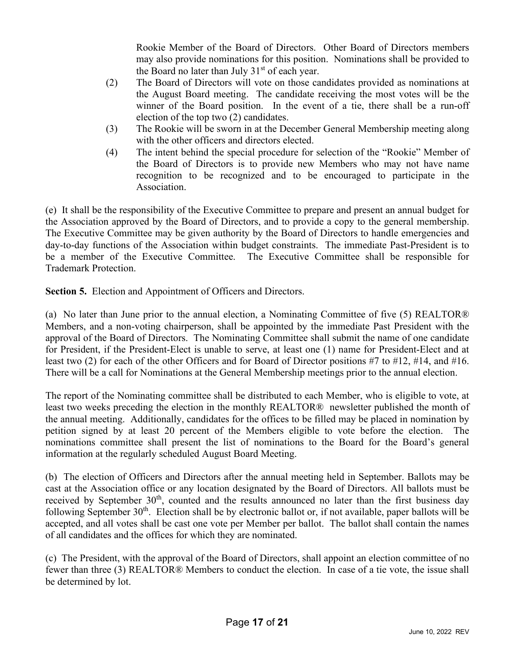Rookie Member of the Board of Directors. Other Board of Directors members may also provide nominations for this position. Nominations shall be provided to the Board no later than July  $31<sup>st</sup>$  of each year.

- (2) The Board of Directors will vote on those candidates provided as nominations at the August Board meeting. The candidate receiving the most votes will be the winner of the Board position. In the event of a tie, there shall be a run-off election of the top two (2) candidates.
- (3) The Rookie will be sworn in at the December General Membership meeting along with the other officers and directors elected.
- (4) The intent behind the special procedure for selection of the "Rookie" Member of the Board of Directors is to provide new Members who may not have name recognition to be recognized and to be encouraged to participate in the Association.

(e) It shall be the responsibility of the Executive Committee to prepare and present an annual budget for the Association approved by the Board of Directors, and to provide a copy to the general membership. The Executive Committee may be given authority by the Board of Directors to handle emergencies and day-to-day functions of the Association within budget constraints. The immediate Past-President is to be a member of the Executive Committee. The Executive Committee shall be responsible for Trademark Protection.

**Section 5.** Election and Appointment of Officers and Directors.

(a) No later than June prior to the annual election, a Nominating Committee of five (5) REALTOR® Members, and a non-voting chairperson, shall be appointed by the immediate Past President with the approval of the Board of Directors. The Nominating Committee shall submit the name of one candidate for President, if the President-Elect is unable to serve, at least one (1) name for President-Elect and at least two (2) for each of the other Officers and for Board of Director positions #7 to #12, #14, and #16. There will be a call for Nominations at the General Membership meetings prior to the annual election.

The report of the Nominating committee shall be distributed to each Member, who is eligible to vote, at least two weeks preceding the election in the monthly REALTOR® newsletter published the month of the annual meeting. Additionally, candidates for the offices to be filled may be placed in nomination by petition signed by at least 20 percent of the Members eligible to vote before the election. The nominations committee shall present the list of nominations to the Board for the Board's general information at the regularly scheduled August Board Meeting.

(b) The election of Officers and Directors after the annual meeting held in September. Ballots may be cast at the Association office or any location designated by the Board of Directors. All ballots must be received by September 30<sup>th</sup>, counted and the results announced no later than the first business day following September  $30<sup>th</sup>$ . Election shall be by electronic ballot or, if not available, paper ballots will be accepted, and all votes shall be cast one vote per Member per ballot. The ballot shall contain the names of all candidates and the offices for which they are nominated.

(c) The President, with the approval of the Board of Directors, shall appoint an election committee of no fewer than three (3) REALTOR® Members to conduct the election. In case of a tie vote, the issue shall be determined by lot.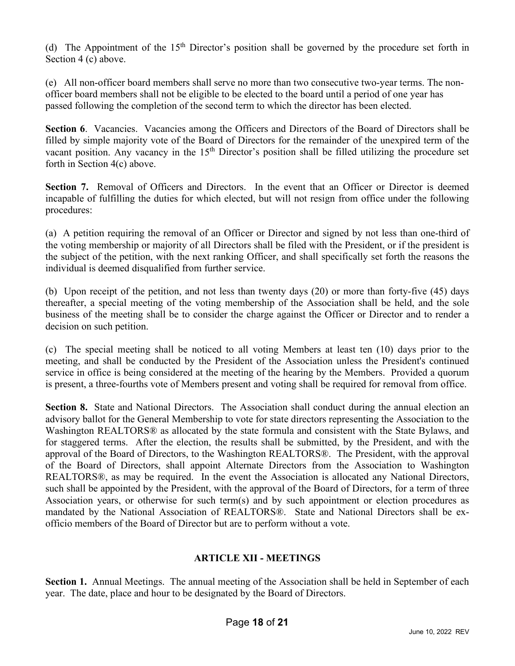(d) The Appointment of the  $15<sup>th</sup>$  Director's position shall be governed by the procedure set forth in Section 4 (c) above.

(e) All non-officer board members shall serve no more than two consecutive two-year terms. The nonofficer board members shall not be eligible to be elected to the board until a period of one year has passed following the completion of the second term to which the director has been elected.

**Section 6.** Vacancies. Vacancies among the Officers and Directors of the Board of Directors shall be filled by simple majority vote of the Board of Directors for the remainder of the unexpired term of the vacant position. Any vacancy in the 15<sup>th</sup> Director's position shall be filled utilizing the procedure set forth in Section 4(c) above.

Section 7. Removal of Officers and Directors. In the event that an Officer or Director is deemed incapable of fulfilling the duties for which elected, but will not resign from office under the following procedures:

(a) A petition requiring the removal of an Officer or Director and signed by not less than one-third of the voting membership or majority of all Directors shall be filed with the President, or if the president is the subject of the petition, with the next ranking Officer, and shall specifically set forth the reasons the individual is deemed disqualified from further service.

(b) Upon receipt of the petition, and not less than twenty days (20) or more than forty-five (45) days thereafter, a special meeting of the voting membership of the Association shall be held, and the sole business of the meeting shall be to consider the charge against the Officer or Director and to render a decision on such petition.

(c) The special meeting shall be noticed to all voting Members at least ten (10) days prior to the meeting, and shall be conducted by the President of the Association unless the President's continued service in office is being considered at the meeting of the hearing by the Members. Provided a quorum is present, a three-fourths vote of Members present and voting shall be required for removal from office.

**Section 8.** State and National Directors. The Association shall conduct during the annual election an advisory ballot for the General Membership to vote for state directors representing the Association to the Washington REALTORS® as allocated by the state formula and consistent with the State Bylaws, and for staggered terms. After the election, the results shall be submitted, by the President, and with the approval of the Board of Directors, to the Washington REALTORS®. The President, with the approval of the Board of Directors, shall appoint Alternate Directors from the Association to Washington REALTORS®, as may be required. In the event the Association is allocated any National Directors, such shall be appointed by the President, with the approval of the Board of Directors, for a term of three Association years, or otherwise for such term(s) and by such appointment or election procedures as mandated by the National Association of REALTORS®. State and National Directors shall be exofficio members of the Board of Director but are to perform without a vote.

## **ARTICLE XII - MEETINGS**

**Section 1.** Annual Meetings. The annual meeting of the Association shall be held in September of each year. The date, place and hour to be designated by the Board of Directors.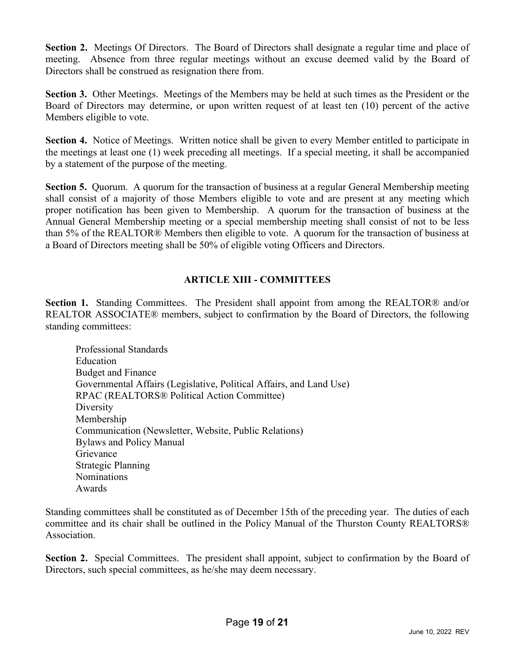**Section 2.** Meetings Of Directors. The Board of Directors shall designate a regular time and place of meeting. Absence from three regular meetings without an excuse deemed valid by the Board of Directors shall be construed as resignation there from.

**Section 3.** Other Meetings. Meetings of the Members may be held at such times as the President or the Board of Directors may determine, or upon written request of at least ten (10) percent of the active Members eligible to vote.

**Section 4.** Notice of Meetings. Written notice shall be given to every Member entitled to participate in the meetings at least one (1) week preceding all meetings. If a special meeting, it shall be accompanied by a statement of the purpose of the meeting.

**Section 5.** Quorum. A quorum for the transaction of business at a regular General Membership meeting shall consist of a majority of those Members eligible to vote and are present at any meeting which proper notification has been given to Membership. A quorum for the transaction of business at the Annual General Membership meeting or a special membership meeting shall consist of not to be less than 5% of the REALTOR® Members then eligible to vote. A quorum for the transaction of business at a Board of Directors meeting shall be 50% of eligible voting Officers and Directors.

# **ARTICLE XIII - COMMITTEES**

**Section 1.** Standing Committees. The President shall appoint from among the REALTOR® and/or REALTOR ASSOCIATE® members, subject to confirmation by the Board of Directors, the following standing committees:

Professional Standards Education Budget and Finance Governmental Affairs (Legislative, Political Affairs, and Land Use) RPAC (REALTORS® Political Action Committee) **Diversity** Membership Communication (Newsletter, Website, Public Relations) Bylaws and Policy Manual Grievance Strategic Planning Nominations Awards

Standing committees shall be constituted as of December 15th of the preceding year. The duties of each committee and its chair shall be outlined in the Policy Manual of the Thurston County REALTORS® Association.

**Section 2.** Special Committees. The president shall appoint, subject to confirmation by the Board of Directors, such special committees, as he/she may deem necessary.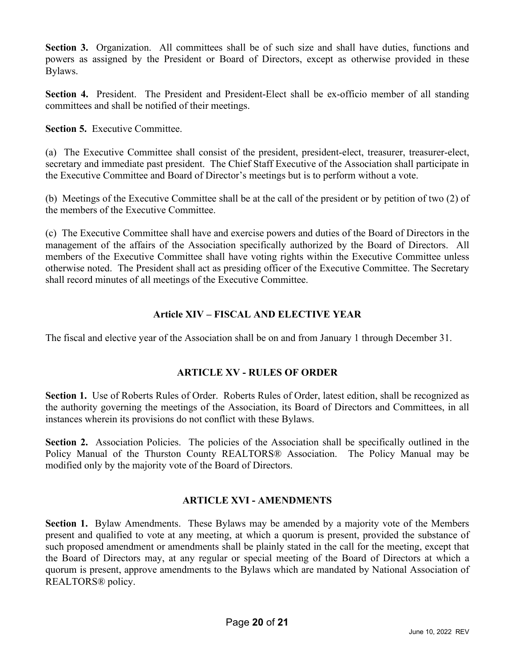**Section 3.** Organization. All committees shall be of such size and shall have duties, functions and powers as assigned by the President or Board of Directors, except as otherwise provided in these Bylaws.

**Section 4.** President. The President and President-Elect shall be ex-officio member of all standing committees and shall be notified of their meetings.

**Section 5.** Executive Committee.

(a) The Executive Committee shall consist of the president, president-elect, treasurer, treasurer-elect, secretary and immediate past president. The Chief Staff Executive of the Association shall participate in the Executive Committee and Board of Director's meetings but is to perform without a vote.

(b) Meetings of the Executive Committee shall be at the call of the president or by petition of two (2) of the members of the Executive Committee.

(c) The Executive Committee shall have and exercise powers and duties of the Board of Directors in the management of the affairs of the Association specifically authorized by the Board of Directors. All members of the Executive Committee shall have voting rights within the Executive Committee unless otherwise noted. The President shall act as presiding officer of the Executive Committee. The Secretary shall record minutes of all meetings of the Executive Committee.

# **Article XIV – FISCAL AND ELECTIVE YEAR**

The fiscal and elective year of the Association shall be on and from January 1 through December 31.

## **ARTICLE XV - RULES OF ORDER**

**Section 1.** Use of Roberts Rules of Order. Roberts Rules of Order, latest edition, shall be recognized as the authority governing the meetings of the Association, its Board of Directors and Committees, in all instances wherein its provisions do not conflict with these Bylaws.

Section 2. Association Policies. The policies of the Association shall be specifically outlined in the Policy Manual of the Thurston County REALTORS® Association. The Policy Manual may be modified only by the majority vote of the Board of Directors.

## **ARTICLE XVI - AMENDMENTS**

**Section 1.** Bylaw Amendments. These Bylaws may be amended by a majority vote of the Members present and qualified to vote at any meeting, at which a quorum is present, provided the substance of such proposed amendment or amendments shall be plainly stated in the call for the meeting, except that the Board of Directors may, at any regular or special meeting of the Board of Directors at which a quorum is present, approve amendments to the Bylaws which are mandated by National Association of REALTORS® policy.